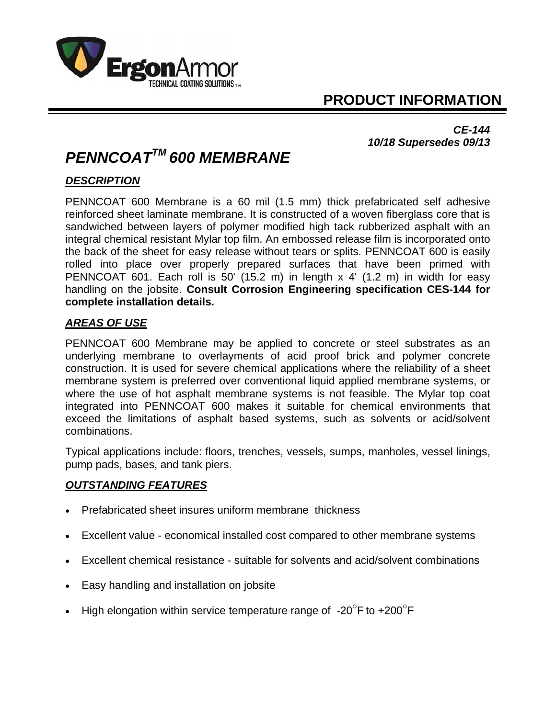

## **PRODUCT INFORMATION**

*CE-144 10/18 Supersedes 09/13* 

# *PENNCOATTM 600 MEMBRANE*

### *DESCRIPTION*

PENNCOAT 600 Membrane is a 60 mil (1.5 mm) thick prefabricated self adhesive reinforced sheet laminate membrane. It is constructed of a woven fiberglass core that is sandwiched between layers of polymer modified high tack rubberized asphalt with an integral chemical resistant Mylar top film. An embossed release film is incorporated onto the back of the sheet for easy release without tears or splits. PENNCOAT 600 is easily rolled into place over properly prepared surfaces that have been primed with PENNCOAT 601. Each roll is 50' (15.2 m) in length x 4' (1.2 m) in width for easy handling on the jobsite. **Consult Corrosion Engineering specification CES-144 for complete installation details.**

#### *AREAS OF USE*

PENNCOAT 600 Membrane may be applied to concrete or steel substrates as an underlying membrane to overlayments of acid proof brick and polymer concrete construction. It is used for severe chemical applications where the reliability of a sheet membrane system is preferred over conventional liquid applied membrane systems, or where the use of hot asphalt membrane systems is not feasible. The Mylar top coat integrated into PENNCOAT 600 makes it suitable for chemical environments that exceed the limitations of asphalt based systems, such as solvents or acid/solvent combinations.

Typical applications include: floors, trenches, vessels, sumps, manholes, vessel linings, pump pads, bases, and tank piers.

#### *OUTSTANDING FEATURES*

- Prefabricated sheet insures uniform membrane thickness
- Excellent value economical installed cost compared to other membrane systems
- Excellent chemical resistance suitable for solvents and acid/solvent combinations
- Easy handling and installation on jobsite
- High elongation within service temperature range of -20 $\mathrm{^{\circ}F}$  to +200 $\mathrm{^{\circ}F}$